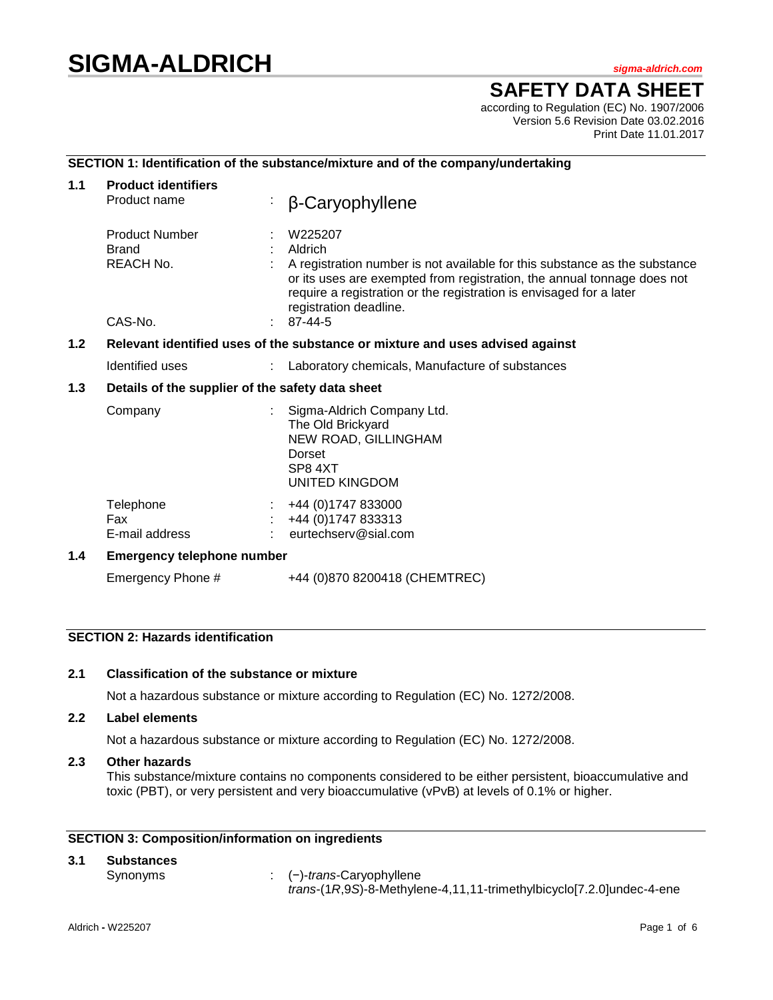# **SIGMA-ALDRICH** *sigma-aldrich.com*

## **SAFETY DATA SHEET**

according to Regulation (EC) No. 1907/2006 Version 5.6 Revision Date 03.02.2016 Print Date 11.01.2017

## **SECTION 1: Identification of the substance/mixture and of the company/undertaking**

| 1.1 | <b>Product identifiers</b><br>Product name                                    | β-Caryophyllene                                                                                                                                                                                                                                                              |  |  |
|-----|-------------------------------------------------------------------------------|------------------------------------------------------------------------------------------------------------------------------------------------------------------------------------------------------------------------------------------------------------------------------|--|--|
|     | <b>Product Number</b><br><b>Brand</b><br><b>REACH No.</b>                     | W225207<br>Aldrich<br>A registration number is not available for this substance as the substance<br>or its uses are exempted from registration, the annual tonnage does not<br>require a registration or the registration is envisaged for a later<br>registration deadline. |  |  |
|     | CAS-No.                                                                       | 87-44-5                                                                                                                                                                                                                                                                      |  |  |
| 1.2 | Relevant identified uses of the substance or mixture and uses advised against |                                                                                                                                                                                                                                                                              |  |  |
|     | Identified uses                                                               | Laboratory chemicals, Manufacture of substances                                                                                                                                                                                                                              |  |  |
| 1.3 | Details of the supplier of the safety data sheet                              |                                                                                                                                                                                                                                                                              |  |  |
|     | Company                                                                       | Sigma-Aldrich Company Ltd.<br>The Old Brickyard<br>NEW ROAD, GILLINGHAM<br>Dorset<br>SP8 4XT<br>UNITED KINGDOM                                                                                                                                                               |  |  |
|     | Telephone<br>Fax<br>E-mail address                                            | +44 (0) 1747 833000<br>+44 (0)1747 833313<br>eurtechserv@sial.com                                                                                                                                                                                                            |  |  |
| 1.4 | <b>Emergency telephone number</b>                                             |                                                                                                                                                                                                                                                                              |  |  |
|     | Emergency Phone #                                                             | +44 (0)870 8200418 (CHEMTREC)                                                                                                                                                                                                                                                |  |  |

## **SECTION 2: Hazards identification**

## **2.1 Classification of the substance or mixture**

Not a hazardous substance or mixture according to Regulation (EC) No. 1272/2008.

#### **2.2 Label elements**

Not a hazardous substance or mixture according to Regulation (EC) No. 1272/2008.

## **2.3 Other hazards**

This substance/mixture contains no components considered to be either persistent, bioaccumulative and toxic (PBT), or very persistent and very bioaccumulative (vPvB) at levels of 0.1% or higher.

## **SECTION 3: Composition/information on ingredients**

## **3.1 Substances**

Synonyms : (−)-*trans*-Caryophyllene *trans*-(1*R*,9*S*)-8-Methylene-4,11,11-trimethylbicyclo[7.2.0]undec-4-ene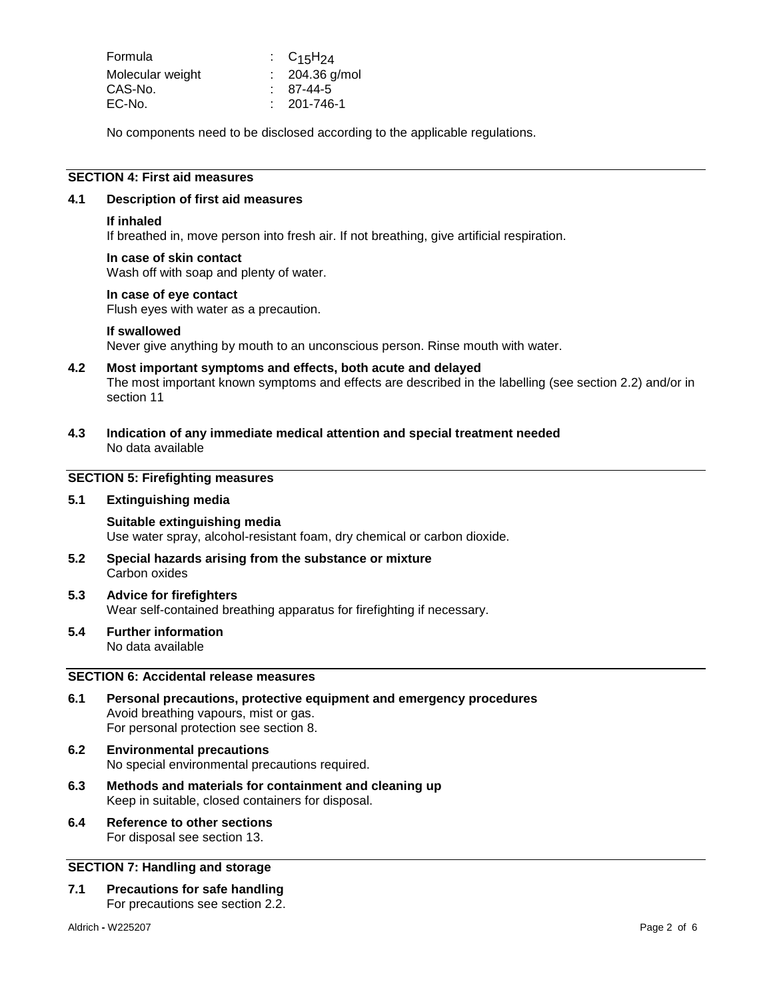| Formula          | : $C_{15}H_{24}$  |
|------------------|-------------------|
| Molecular weight | $: 204.36$ g/mol  |
| CAS-No.          | $87-44-5$         |
| EC-No.           | $: 201 - 746 - 1$ |

No components need to be disclosed according to the applicable regulations.

#### **SECTION 4: First aid measures**

#### **4.1 Description of first aid measures**

#### **If inhaled**

If breathed in, move person into fresh air. If not breathing, give artificial respiration.

#### **In case of skin contact**

Wash off with soap and plenty of water.

#### **In case of eye contact**

Flush eyes with water as a precaution.

#### **If swallowed**

Never give anything by mouth to an unconscious person. Rinse mouth with water.

#### **4.2 Most important symptoms and effects, both acute and delayed**

The most important known symptoms and effects are described in the labelling (see section 2.2) and/or in section 11

**4.3 Indication of any immediate medical attention and special treatment needed** No data available

## **SECTION 5: Firefighting measures**

#### **5.1 Extinguishing media**

#### **Suitable extinguishing media** Use water spray, alcohol-resistant foam, dry chemical or carbon dioxide.

- **5.2 Special hazards arising from the substance or mixture** Carbon oxides
- **5.3 Advice for firefighters** Wear self-contained breathing apparatus for firefighting if necessary.
- **5.4 Further information** No data available

## **SECTION 6: Accidental release measures**

- **6.1 Personal precautions, protective equipment and emergency procedures** Avoid breathing vapours, mist or gas. For personal protection see section 8.
- **6.2 Environmental precautions** No special environmental precautions required.
- **6.3 Methods and materials for containment and cleaning up** Keep in suitable, closed containers for disposal.
- **6.4 Reference to other sections** For disposal see section 13.

#### **SECTION 7: Handling and storage**

**7.1 Precautions for safe handling** For precautions see section 2.2.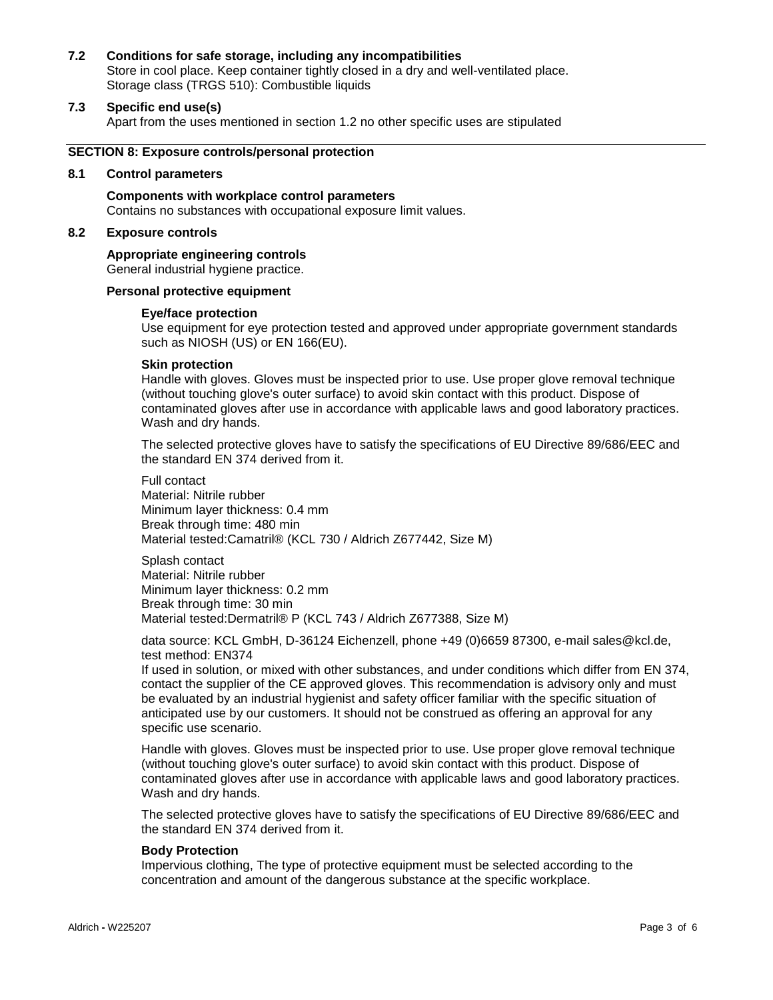#### **7.2 Conditions for safe storage, including any incompatibilities**

Store in cool place. Keep container tightly closed in a dry and well-ventilated place. Storage class (TRGS 510): Combustible liquids

#### **7.3 Specific end use(s)**

Apart from the uses mentioned in section 1.2 no other specific uses are stipulated

#### **SECTION 8: Exposure controls/personal protection**

#### **8.1 Control parameters**

**Components with workplace control parameters** Contains no substances with occupational exposure limit values.

## **8.2 Exposure controls**

#### **Appropriate engineering controls**

General industrial hygiene practice.

#### **Personal protective equipment**

#### **Eye/face protection**

Use equipment for eye protection tested and approved under appropriate government standards such as NIOSH (US) or EN 166(EU).

#### **Skin protection**

Handle with gloves. Gloves must be inspected prior to use. Use proper glove removal technique (without touching glove's outer surface) to avoid skin contact with this product. Dispose of contaminated gloves after use in accordance with applicable laws and good laboratory practices. Wash and dry hands.

The selected protective gloves have to satisfy the specifications of EU Directive 89/686/EEC and the standard EN 374 derived from it.

Full contact Material: Nitrile rubber Minimum layer thickness: 0.4 mm Break through time: 480 min Material tested:Camatril® (KCL 730 / Aldrich Z677442, Size M)

Splash contact Material: Nitrile rubber Minimum layer thickness: 0.2 mm Break through time: 30 min Material tested:Dermatril® P (KCL 743 / Aldrich Z677388, Size M)

data source: KCL GmbH, D-36124 Eichenzell, phone +49 (0)6659 87300, e-mail sales@kcl.de, test method: EN374

If used in solution, or mixed with other substances, and under conditions which differ from EN 374, contact the supplier of the CE approved gloves. This recommendation is advisory only and must be evaluated by an industrial hygienist and safety officer familiar with the specific situation of anticipated use by our customers. It should not be construed as offering an approval for any specific use scenario.

Handle with gloves. Gloves must be inspected prior to use. Use proper glove removal technique (without touching glove's outer surface) to avoid skin contact with this product. Dispose of contaminated gloves after use in accordance with applicable laws and good laboratory practices. Wash and dry hands.

The selected protective gloves have to satisfy the specifications of EU Directive 89/686/EEC and the standard EN 374 derived from it.

#### **Body Protection**

Impervious clothing, The type of protective equipment must be selected according to the concentration and amount of the dangerous substance at the specific workplace.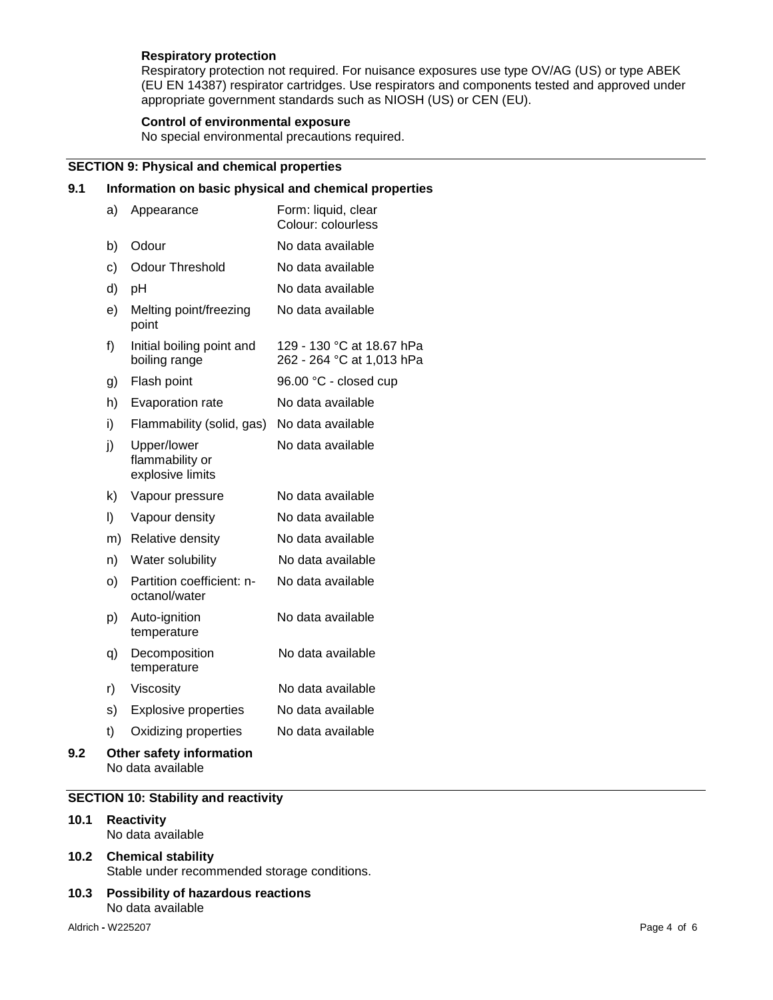## **Respiratory protection**

Respiratory protection not required. For nuisance exposures use type OV/AG (US) or type ABEK (EU EN 14387) respirator cartridges. Use respirators and components tested and approved under appropriate government standards such as NIOSH (US) or CEN (EU).

## **Control of environmental exposure**

No special environmental precautions required.

## **SECTION 9: Physical and chemical properties**

## **9.1 Information on basic physical and chemical properties**

|     | a) | Appearance                                         | Form: liquid, clear<br>Colour: colourless              |
|-----|----|----------------------------------------------------|--------------------------------------------------------|
|     | b) | Odour                                              | No data available                                      |
|     | c) | <b>Odour Threshold</b>                             | No data available                                      |
|     | d) | pH                                                 | No data available                                      |
|     | e) | Melting point/freezing<br>point                    | No data available                                      |
|     | f) | Initial boiling point and<br>boiling range         | 129 - 130 °C at 18.67 hPa<br>262 - 264 °C at 1,013 hPa |
|     | g) | Flash point                                        | 96.00 °C - closed cup                                  |
|     | h) | Evaporation rate                                   | No data available                                      |
|     | i) | Flammability (solid, gas)                          | No data available                                      |
|     | j) | Upper/lower<br>flammability or<br>explosive limits | No data available                                      |
|     | k) | Vapour pressure                                    | No data available                                      |
|     | I) | Vapour density                                     | No data available                                      |
|     | m) | Relative density                                   | No data available                                      |
|     | n) | Water solubility                                   | No data available                                      |
|     | O) | Partition coefficient: n-<br>octanol/water         | No data available                                      |
|     | p) | Auto-ignition<br>temperature                       | No data available                                      |
|     | q) | Decomposition<br>temperature                       | No data available                                      |
|     | r) | Viscosity                                          | No data available                                      |
|     | s) | <b>Explosive properties</b>                        | No data available                                      |
|     | t) | Oxidizing properties                               | No data available                                      |
| 9.2 |    | Other safety information<br>No data available      |                                                        |

#### **SECTION 10: Stability and reactivity**

**10.1 Reactivity** No data available

## **10.2 Chemical stability** Stable under recommended storage conditions.

**10.3 Possibility of hazardous reactions** No data available

Aldrich **-** W225207 Page 4 of 6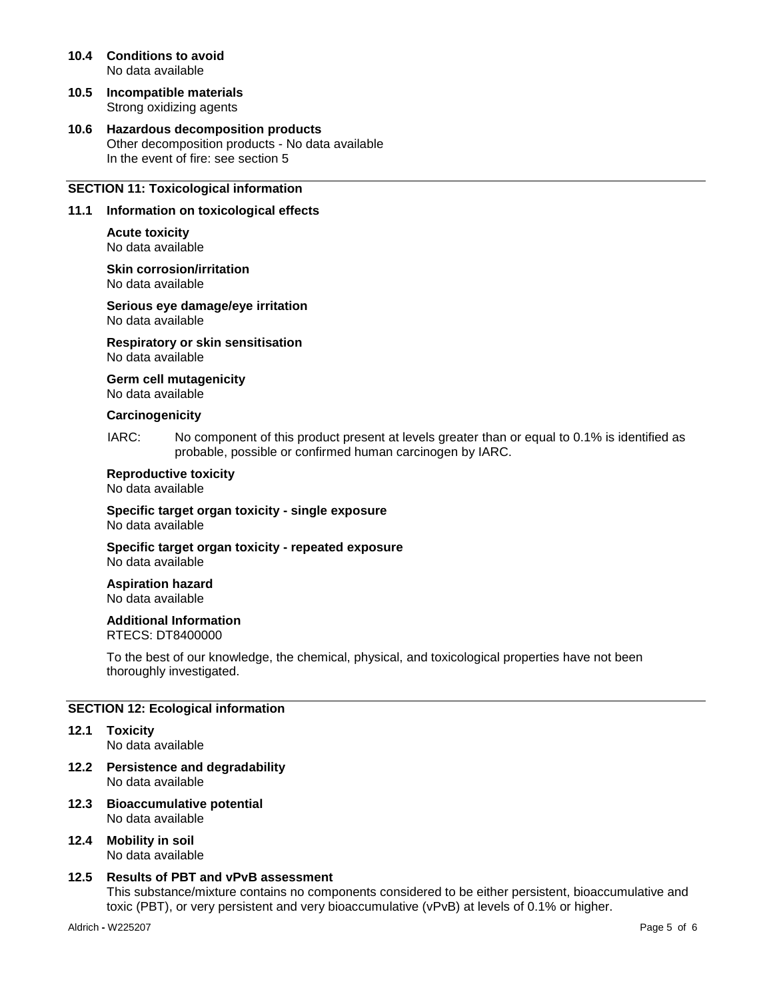- **10.4 Conditions to avoid** No data available
- **10.5 Incompatible materials** Strong oxidizing agents
- **10.6 Hazardous decomposition products** Other decomposition products - No data available In the event of fire: see section 5

## **SECTION 11: Toxicological information**

#### **11.1 Information on toxicological effects**

**Acute toxicity** No data available

**Skin corrosion/irritation** No data available

**Serious eye damage/eye irritation** No data available

**Respiratory or skin sensitisation** No data available

**Germ cell mutagenicity**

No data available

#### **Carcinogenicity**

IARC: No component of this product present at levels greater than or equal to 0.1% is identified as probable, possible or confirmed human carcinogen by IARC.

#### **Reproductive toxicity**

No data available

**Specific target organ toxicity - single exposure** No data available

**Specific target organ toxicity - repeated exposure** No data available

**Aspiration hazard** No data available

#### **Additional Information**

RTECS: DT8400000

To the best of our knowledge, the chemical, physical, and toxicological properties have not been thoroughly investigated.

#### **SECTION 12: Ecological information**

- **12.1 Toxicity** No data available
- **12.2 Persistence and degradability** No data available
- **12.3 Bioaccumulative potential** No data available
- **12.4 Mobility in soil** No data available

#### **12.5 Results of PBT and vPvB assessment**

This substance/mixture contains no components considered to be either persistent, bioaccumulative and toxic (PBT), or very persistent and very bioaccumulative (vPvB) at levels of 0.1% or higher.